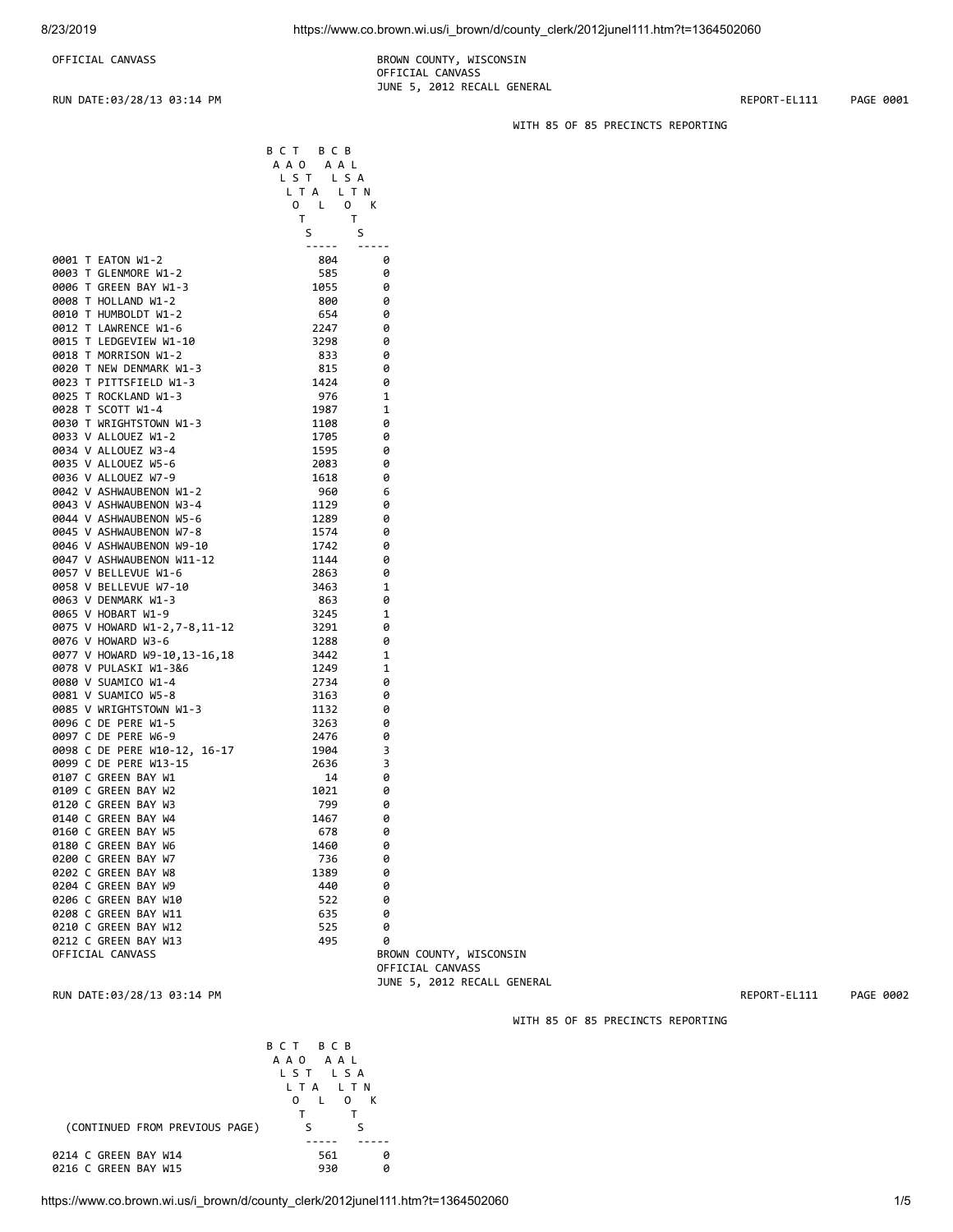OFFICIAL CANVASS **BROWN COUNTY, WISCONSIN**  OFFICIAL CANVASS JUNE 5, 2012 RECALL GENERAL

B C T B C B

RUN DATE:03/28/13 03:14 PM REPORT-EL111 PAGE 0001

WITH 85 OF 85 PRECINCTS REPORTING

|                              | A A O<br>A A L |              |
|------------------------------|----------------|--------------|
|                              | LST<br>LSA     |              |
|                              | L T A<br>L T N |              |
|                              | 0<br>L<br>0    | К            |
|                              | т<br>т         |              |
|                              | S<br>S         |              |
|                              |                |              |
| 0001 T EATON W1-2            | 804            | 0            |
| 0003 T GLENMORE W1-2         | 585            | 0            |
| 0006 T GREEN BAY W1-3        | 1055           | 0            |
| 0008 T HOLLAND W1-2          | 800            | 0            |
| 0010 T HUMBOLDT W1-2         | 654            | 0            |
| 0012 T<br>LAWRENCE W1-6      | 2247           | 0            |
|                              | 3298           | 0            |
| 0015 T LEDGEVIEW W1-10       |                |              |
| 0018 T MORRISON W1-2         | 833            | 0            |
| 0020 T NEW DENMARK W1-3      | 815            | 0            |
| 0023 T PITTSFIELD W1-3       | 1424           | 0            |
| 0025 T ROCKLAND W1-3         | 976            | 1            |
| 0028 T SCOTT W1-4            | 1987           | 1            |
| 0030 T WRIGHTSTOWN W1-3      | 1108           | 0            |
| 0033 V ALLOUEZ W1-2          | 1705           | 0            |
| 0034 V ALLOUEZ W3-4          | 1595           | 0            |
| 0035 V ALLOUEZ W5-6          | 2083           | 0            |
| 0036 V ALLOUEZ W7-9          | 1618           | 0            |
| 0042 V ASHWAUBENON W1-2      | 960            | 6            |
| 0043 V ASHWAUBENON W3-4      | 1129           | 0            |
| 0044 V ASHWAUBENON W5-6      | 1289           | 0            |
| 0045 V ASHWAUBENON W7-8      | 1574           | 0            |
| 0046 V ASHWAUBENON W9-10     | 1742           | 0            |
| 0047 V ASHWAUBENON W11-12    | 1144           | 0            |
| 0057 V BELLEVUE W1-6         | 2863           | 0            |
| 0058 V BELLEVUE W7-10        | 3463           | 1            |
| 0063 V DENMARK W1-3          | 863            | 0            |
| 0065 V HOBART W1-9           | 3245           | 1            |
| 0075 V HOWARD W1-2,7-8,11-12 | 3291           | 0            |
| 0076 V HOWARD W3-6           | 1288           | 0            |
| 0077 V HOWARD W9-10,13-16,18 | 3442           | 1            |
| 0078 V PULASKI W1-3&6        | 1249           | 1            |
| 0080 V SUAMICO W1-4          | 2734           | 0            |
| 0081 V SUAMICO W5-8          |                | 0            |
|                              | 3163           |              |
| 0085 V WRIGHTSTOWN W1-3      | 1132           | 0            |
| 0096 C DE PERE W1-5          | 3263           | 0            |
| 0097 C DE PERE W6-9          | 2476           | 0            |
| 0098 C DE PERE W10-12, 16-17 | 1904           | 3            |
| 0099 C DE PERE W13-15        | 2636           | 3            |
| 0107 C GREEN BAY W1          | 14             | 0            |
| 0109 C GREEN BAY W2          | 1021           | 0            |
| 0120 C GREEN BAY W3          | 799            | 0            |
| 0140 C GREEN BAY W4          | 1467           | 0            |
| 0160 C GREEN BAY W5          | 678            | 0            |
| 0180 C GREEN BAY W6          | 1460           | 0            |
| 0200 C GREEN BAY W7          | 736            | 0            |
| 0202 C GREEN BAY W8          | 1389           | 0            |
| 0204 C GREEN BAY W9          | 440            | 0            |
| 0206 C GREEN BAY W10         | 522            | 0            |
| 0208 C GREEN BAY W11         | 635            | 0            |
| 0210 C GREEN BAY W12         | 525            | 0            |
| 0212 C GREEN BAY W13         | 495            | 0            |
| OFFICIAL CANVASS             |                | <b>BROWN</b> |
|                              |                | OFFIC        |

RUN DATE:03/28/13 03:14 PM REPORT-EL111 PAGE 0002

COUNTY, WISCONSIN CIAL CANVASS JUNE 5, 2012 RECALL GENERAL

WITH 85 OF 85 PRECINCTS REPORTING

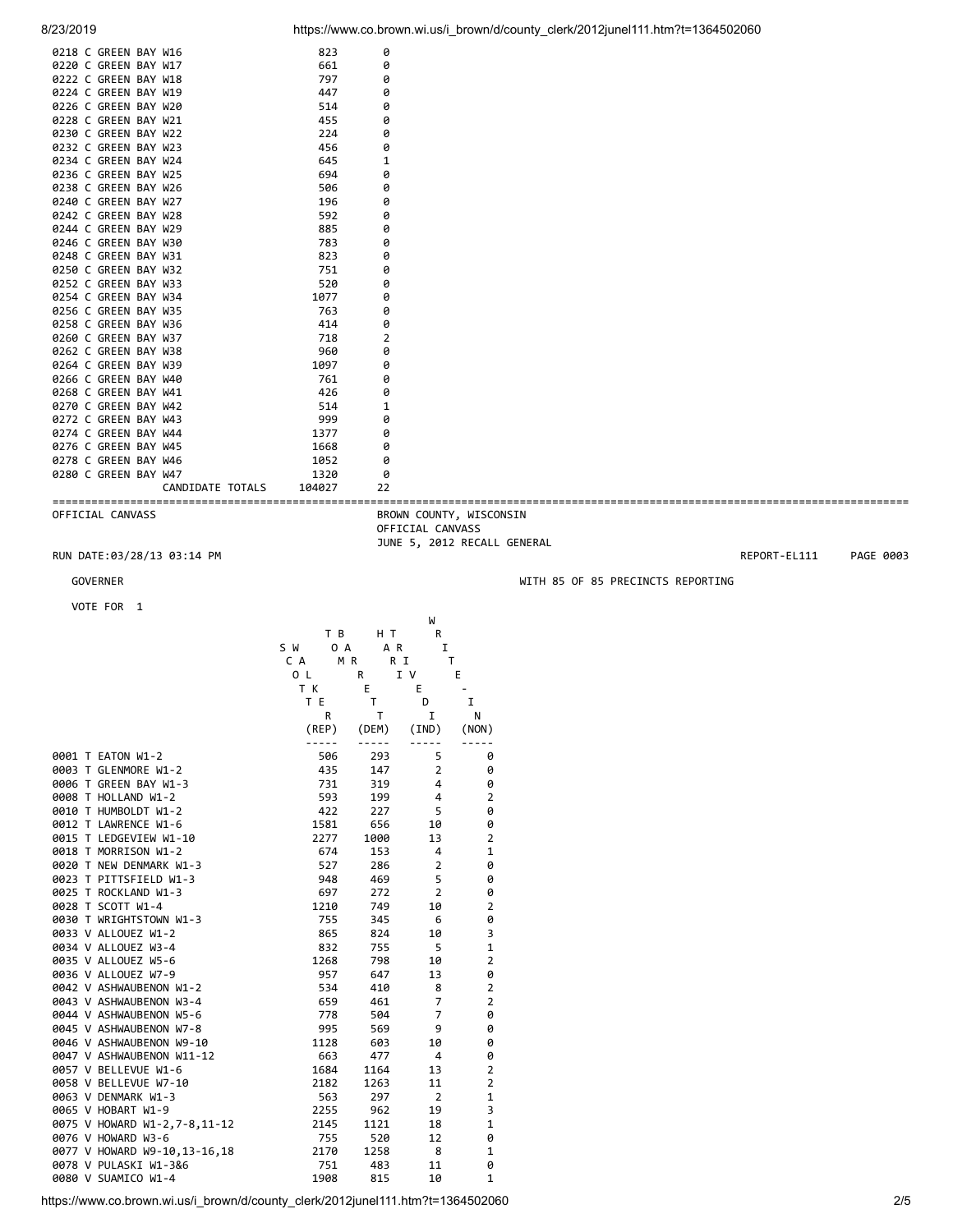| 0218 C GREEN BAY W16 |                  | 823    | 0  |
|----------------------|------------------|--------|----|
| 0220 C GREEN BAY W17 |                  | 661    | 0  |
| 0222 C GREEN BAY W18 |                  | 797    | 0  |
| 0224 C GREEN BAY W19 |                  | 447    | 0  |
| 0226 C GREEN BAY W20 |                  | 514    | 0  |
| 0228 C GREEN BAY W21 |                  | 455    | 0  |
| 0230 C GREEN BAY W22 |                  | 224    | 0  |
| 0232 C GREEN BAY W23 |                  | 456    | 0  |
| 0234 C GREEN BAY W24 |                  | 645    | 1  |
| 0236 C GREEN BAY W25 |                  | 694    | 0  |
| 0238 C GREEN BAY W26 |                  | 506    | 0  |
| 0240 C GREEN BAY W27 |                  | 196    | 0  |
| 0242 C GREEN BAY W28 |                  | 592    | 0  |
| 0244 C GREEN BAY W29 |                  | 885    | 0  |
| 0246 C GREEN BAY W30 |                  | 783    | 0  |
| 0248 C GREEN BAY W31 |                  | 823    | 0  |
| 0250 C GREEN BAY W32 |                  | 751    | ø  |
| 0252 C GREEN BAY W33 |                  | 520    | 0  |
| 0254 C GREEN BAY W34 |                  | 1077   | 0  |
| 0256 C GREEN BAY W35 |                  | 763    | 0  |
| 0258 C GREEN BAY W36 |                  | 414    | 0  |
| 0260 C GREEN BAY W37 |                  | 718    | 2  |
| 0262 C GREEN BAY W38 |                  | 960    | 0  |
| 0264 C GREEN BAY W39 |                  | 1097   | 0  |
| 0266 C GREEN BAY W40 |                  | 761    | 0  |
| 0268 C GREEN BAY W41 |                  | 426    | 0  |
| 0270 C GREEN BAY W42 |                  | 514    | 1  |
| 0272 C GREEN BAY W43 |                  | 999    | 0  |
| 0274 C GREEN BAY W44 |                  | 1377   | 0  |
| 0276 C GREEN BAY W45 |                  | 1668   | 0  |
| 0278 C GREEN BAY W46 |                  | 1052   | 0  |
| 0280 C GREEN BAY W47 |                  | 1320   | 0  |
|                      | CANDIDATE TOTALS | 104027 | 22 |

==================================================================================================================================== BROWN COUNTY, WISCONSIN OFFICIAL CANVASS JUNE 5, 2012 RECALL GENERAL

RUN DATE:03/28/13 03:14 PM REPORT-EL111 PAGE 0003

VOTE FOR 1

|                              |            |           | W              |                |  |
|------------------------------|------------|-----------|----------------|----------------|--|
|                              | T B        | H T       | R              |                |  |
|                              | S W<br>0 A | A R       | I              |                |  |
|                              | C A<br>MR. | R I       | т              |                |  |
|                              | 0 L        | R         | I V            | E              |  |
|                              | T K        | Е         | E.             |                |  |
|                              | T E        | T         | D              | I              |  |
|                              | R          | Τ         | I              | N              |  |
|                              | (REP)      | (DEM)     | (IND)          | (NON)          |  |
|                              |            | $- - - -$ |                |                |  |
| 0001 T EATON W1-2            | 506        | 293       | 5              | 0              |  |
| 0003 T GLENMORE W1-2         | 435        | 147       | $\overline{2}$ | 0              |  |
| 0006 T GREEN BAY W1-3        | 731        | 319       | 4              | 0              |  |
| 0008 T HOLLAND W1-2          | 593        | 199       | 4              | 2              |  |
| 0010 T HUMBOLDT W1-2         | 422        | 227       | 5              | 0              |  |
| 0012 T LAWRENCE W1-6         | 1581       | 656       | 10             | 0              |  |
| 0015 T LEDGEVIEW W1-10       | 2277       | 1000      | 13             | $\overline{2}$ |  |
| 0018 T MORRISON W1-2         | 674        | 153       | 4              | 1              |  |
| 0020 T NEW DENMARK W1-3      | 527        | 286       | $\overline{2}$ | 0              |  |
| 0023 T PITTSFIELD W1-3       | 948        | 469       | 5              | 0              |  |
| 0025 T ROCKLAND W1-3         | 697        | 272       | $\overline{2}$ | 0              |  |
| 0028 T SCOTT W1-4            | 1210       | 749       | 10             | $\overline{2}$ |  |
| 0030 T WRIGHTSTOWN W1-3      | 755        | 345       | 6              | 0              |  |
| 0033 V ALLOUEZ W1-2          | 865        | 824       | 10             | 3              |  |
| 0034 V ALLOUEZ W3-4          | 832        | 755       | 5              | $\mathbf 1$    |  |
| 0035 V ALLOUEZ W5-6          | 1268       | 798       | 10             | $\overline{2}$ |  |
| 0036 V ALLOUEZ W7-9          | 957        | 647       | 13             | 0              |  |
| 0042 V ASHWAUBENON W1-2      | 534        | 410       | 8              | $\overline{2}$ |  |
| 0043 V ASHWAUBENON W3-4      | 659        | 461       | 7              | $\overline{2}$ |  |
| 0044 V ASHWAUBENON W5-6      | 778        | 504       | $\overline{7}$ | 0              |  |
| 0045 V ASHWAUBENON W7-8      | 995        | 569       | 9              | 0              |  |
| 0046 V ASHWAUBENON W9-10     | 1128       | 603       | 10             | 0              |  |
| 0047 V ASHWAUBENON W11-12    | 663        | 477       | 4              | 0              |  |
| 0057 V BELLEVUE W1-6         | 1684       | 1164      | 13             | $\overline{2}$ |  |
| 0058 V BELLEVUE W7-10        | 2182       | 1263      | 11             | $\overline{2}$ |  |
| 0063 V DENMARK W1-3          | 563        | 297       | 2              | 1              |  |
| 0065 V HOBART W1-9           | 2255       | 962       | 19             | 3              |  |
| 0075 V HOWARD W1-2,7-8,11-12 | 2145       | 1121      | 18             | $\mathbf 1$    |  |
| 0076 V HOWARD W3-6           | 755        | 520       | 12             | 0              |  |
| 0077 V HOWARD W9-10,13-16,18 | 2170       | 1258      | 8              | 1              |  |
| 0078 V PULASKI W1-3&6        | 751        | 483       | 11             | 0              |  |
| 0080 V SUAMICO W1-4          | 1908       | 815       | 10             | $\mathbf{1}$   |  |

https://www.co.brown.wi.us/i\_brown/d/county\_clerk/2012junel111.htm?t=1364502060 2/5

GOVERNER GOVERNER WITH 85 OF 85 PRECINCTS REPORTING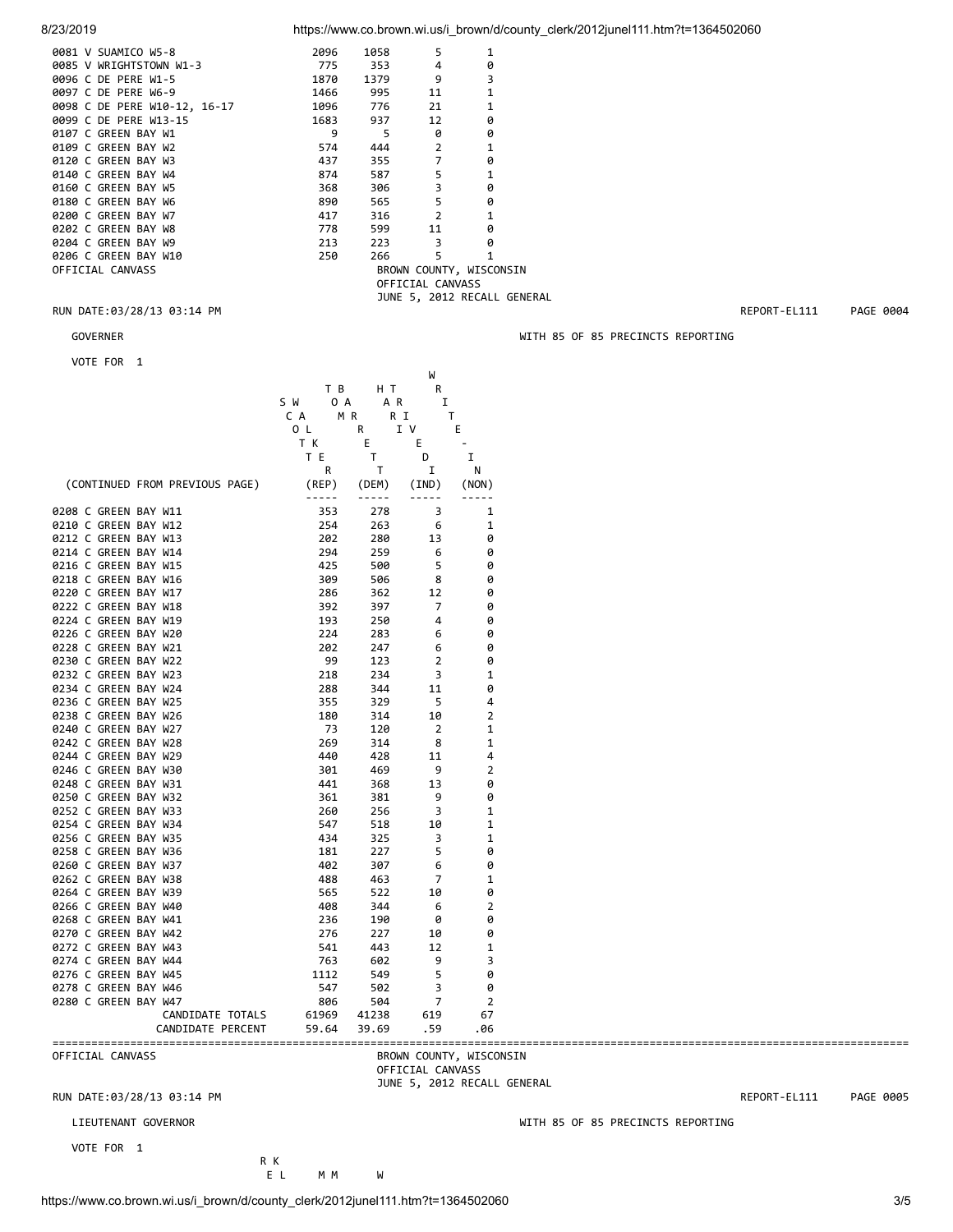| 8/23/2010 |  |  |
|-----------|--|--|
|           |  |  |

8/23/2019 https://www.co.brown.wi.us/i\_brown/d/county\_clerk/2012junel111.htm?t=1364502060

|                  | 0081 V SUAMICO W5-8          | 2096  | 1058    | 5                       | 1                           |  |
|------------------|------------------------------|-------|---------|-------------------------|-----------------------------|--|
|                  | 0085 V WRIGHTSTOWN W1-3      | 775   |         | 4                       | 0                           |  |
|                  | 0096 C DE PERE W1-5          | 1870  | 1379    | 9                       | 3                           |  |
|                  | 0097 C DE PERE W6-9          | 1466  | 995     | 11                      | 1                           |  |
|                  | 0098 C DE PERE W10-12, 16-17 | 1096  | 776     | 21                      | 1                           |  |
|                  | 0099 C DE PERE W13-15        | 1683  | 937     | 12                      | 0                           |  |
|                  | 0107 C GREEN BAY W1          | 9     | - 5     | 0                       | 0                           |  |
|                  | 0109 C GREEN BAY W2          | 574   | 444     | $\overline{2}$          | 1                           |  |
|                  | 0120 C GREEN BAY W3          | 437   | 355     | $\overline{7}$          | 0                           |  |
|                  | 0140 C GREEN BAY W4          | 874 — | 587 — 1 | 5                       | 1                           |  |
|                  | 0160 C GREEN BAY W5          | 368   | 306     | 3                       | 0                           |  |
|                  | 0180 C GREEN BAY W6          | 890   | 565 700 | 5                       | 0                           |  |
|                  | 0200 C GREEN BAY W7          | 417   | 316     | $\overline{2}$          | 1                           |  |
|                  | 0202 C GREEN BAY W8          | 778   | 599 — 1 | 11                      | 0                           |  |
|                  | 0204 C GREEN BAY W9          | 213   | 223     | $\overline{\mathbf{3}}$ | 0                           |  |
|                  | 0206 C GREEN BAY W10         | 250   | 266     | 5                       | 1                           |  |
| OFFICIAL CANVASS |                              |       |         |                         | BROWN COUNTY, WISCONSIN     |  |
|                  |                              |       |         | OFFICIAL CANVASS        |                             |  |
|                  |                              |       |         |                         | JUNE 5, 2012 RECALL GENERAL |  |
|                  |                              |       |         |                         |                             |  |

## RUN DATE:03/28/13 03:14 PM REPORT-EL111 PAGE 0004

| VOTE FOR 1                     |                                                                                                                                                                                                                                                                                                                                                                                              |                                                                                                                                                                                                                                                                                                                                                                                              |                                                                                                                                                                                                                                                                                                                                                                                              |                         |  |  |
|--------------------------------|----------------------------------------------------------------------------------------------------------------------------------------------------------------------------------------------------------------------------------------------------------------------------------------------------------------------------------------------------------------------------------------------|----------------------------------------------------------------------------------------------------------------------------------------------------------------------------------------------------------------------------------------------------------------------------------------------------------------------------------------------------------------------------------------------|----------------------------------------------------------------------------------------------------------------------------------------------------------------------------------------------------------------------------------------------------------------------------------------------------------------------------------------------------------------------------------------------|-------------------------|--|--|
|                                |                                                                                                                                                                                                                                                                                                                                                                                              |                                                                                                                                                                                                                                                                                                                                                                                              | W                                                                                                                                                                                                                                                                                                                                                                                            |                         |  |  |
|                                | T B                                                                                                                                                                                                                                                                                                                                                                                          | H T                                                                                                                                                                                                                                                                                                                                                                                          | R                                                                                                                                                                                                                                                                                                                                                                                            |                         |  |  |
|                                | S W<br>0 A                                                                                                                                                                                                                                                                                                                                                                                   | A R                                                                                                                                                                                                                                                                                                                                                                                          | Ι.                                                                                                                                                                                                                                                                                                                                                                                           |                         |  |  |
|                                | C A                                                                                                                                                                                                                                                                                                                                                                                          | MR.                                                                                                                                                                                                                                                                                                                                                                                          | R I                                                                                                                                                                                                                                                                                                                                                                                          | T                       |  |  |
|                                | 0 L                                                                                                                                                                                                                                                                                                                                                                                          | R                                                                                                                                                                                                                                                                                                                                                                                            | I V                                                                                                                                                                                                                                                                                                                                                                                          | E                       |  |  |
|                                | T K                                                                                                                                                                                                                                                                                                                                                                                          | Е.                                                                                                                                                                                                                                                                                                                                                                                           | Е                                                                                                                                                                                                                                                                                                                                                                                            |                         |  |  |
|                                | T E                                                                                                                                                                                                                                                                                                                                                                                          | $\mathsf{T}$                                                                                                                                                                                                                                                                                                                                                                                 | D                                                                                                                                                                                                                                                                                                                                                                                            | Ι.                      |  |  |
|                                | R                                                                                                                                                                                                                                                                                                                                                                                            | T                                                                                                                                                                                                                                                                                                                                                                                            | Ι.                                                                                                                                                                                                                                                                                                                                                                                           | N                       |  |  |
| (CONTINUED FROM PREVIOUS PAGE) | (REP)                                                                                                                                                                                                                                                                                                                                                                                        | (DEM)                                                                                                                                                                                                                                                                                                                                                                                        | (IND)                                                                                                                                                                                                                                                                                                                                                                                        | (NON)                   |  |  |
|                                | $\frac{1}{2} \frac{1}{2} \frac{1}{2} \frac{1}{2} \frac{1}{2} \frac{1}{2} \frac{1}{2} \frac{1}{2} \frac{1}{2} \frac{1}{2} \frac{1}{2} \frac{1}{2} \frac{1}{2} \frac{1}{2} \frac{1}{2} \frac{1}{2} \frac{1}{2} \frac{1}{2} \frac{1}{2} \frac{1}{2} \frac{1}{2} \frac{1}{2} \frac{1}{2} \frac{1}{2} \frac{1}{2} \frac{1}{2} \frac{1}{2} \frac{1}{2} \frac{1}{2} \frac{1}{2} \frac{1}{2} \frac{$ | $\frac{1}{2} \frac{1}{2} \frac{1}{2} \frac{1}{2} \frac{1}{2} \frac{1}{2} \frac{1}{2} \frac{1}{2} \frac{1}{2} \frac{1}{2} \frac{1}{2} \frac{1}{2} \frac{1}{2} \frac{1}{2} \frac{1}{2} \frac{1}{2} \frac{1}{2} \frac{1}{2} \frac{1}{2} \frac{1}{2} \frac{1}{2} \frac{1}{2} \frac{1}{2} \frac{1}{2} \frac{1}{2} \frac{1}{2} \frac{1}{2} \frac{1}{2} \frac{1}{2} \frac{1}{2} \frac{1}{2} \frac{$ | $\frac{1}{2} \frac{1}{2} \frac{1}{2} \frac{1}{2} \frac{1}{2} \frac{1}{2} \frac{1}{2} \frac{1}{2} \frac{1}{2} \frac{1}{2} \frac{1}{2} \frac{1}{2} \frac{1}{2} \frac{1}{2} \frac{1}{2} \frac{1}{2} \frac{1}{2} \frac{1}{2} \frac{1}{2} \frac{1}{2} \frac{1}{2} \frac{1}{2} \frac{1}{2} \frac{1}{2} \frac{1}{2} \frac{1}{2} \frac{1}{2} \frac{1}{2} \frac{1}{2} \frac{1}{2} \frac{1}{2} \frac{$ | $\frac{1}{2}$           |  |  |
| 0208 C GREEN BAY W11           | 353                                                                                                                                                                                                                                                                                                                                                                                          | 278                                                                                                                                                                                                                                                                                                                                                                                          | 3                                                                                                                                                                                                                                                                                                                                                                                            | 1                       |  |  |
| 0210 C GREEN BAY W12           | 254                                                                                                                                                                                                                                                                                                                                                                                          | 263                                                                                                                                                                                                                                                                                                                                                                                          | 6                                                                                                                                                                                                                                                                                                                                                                                            | 1                       |  |  |
| 0212 C GREEN BAY W13           | 202                                                                                                                                                                                                                                                                                                                                                                                          | 280                                                                                                                                                                                                                                                                                                                                                                                          | 13                                                                                                                                                                                                                                                                                                                                                                                           | 0                       |  |  |
| 0214 C GREEN BAY W14           | 294                                                                                                                                                                                                                                                                                                                                                                                          | 259                                                                                                                                                                                                                                                                                                                                                                                          | 6                                                                                                                                                                                                                                                                                                                                                                                            | 0                       |  |  |
| 0216 C GREEN BAY W15           | 425                                                                                                                                                                                                                                                                                                                                                                                          | 500                                                                                                                                                                                                                                                                                                                                                                                          | 5                                                                                                                                                                                                                                                                                                                                                                                            | 0                       |  |  |
| 0218 C GREEN BAY W16           | 309                                                                                                                                                                                                                                                                                                                                                                                          | 506                                                                                                                                                                                                                                                                                                                                                                                          | 8                                                                                                                                                                                                                                                                                                                                                                                            | 0                       |  |  |
| 0220 C GREEN BAY W17           | 286                                                                                                                                                                                                                                                                                                                                                                                          | 362                                                                                                                                                                                                                                                                                                                                                                                          | 12                                                                                                                                                                                                                                                                                                                                                                                           | 0                       |  |  |
| 0222 C GREEN BAY W18           | 392                                                                                                                                                                                                                                                                                                                                                                                          | 397                                                                                                                                                                                                                                                                                                                                                                                          | 7                                                                                                                                                                                                                                                                                                                                                                                            | 0                       |  |  |
| 0224 C GREEN BAY W19           | 193                                                                                                                                                                                                                                                                                                                                                                                          | 250                                                                                                                                                                                                                                                                                                                                                                                          | 4                                                                                                                                                                                                                                                                                                                                                                                            | 0                       |  |  |
| 0226 C GREEN BAY W20           | 224                                                                                                                                                                                                                                                                                                                                                                                          | 283                                                                                                                                                                                                                                                                                                                                                                                          | 6                                                                                                                                                                                                                                                                                                                                                                                            | 0                       |  |  |
| 0228 C GREEN BAY W21           | 202                                                                                                                                                                                                                                                                                                                                                                                          | 247                                                                                                                                                                                                                                                                                                                                                                                          | 6                                                                                                                                                                                                                                                                                                                                                                                            | 0                       |  |  |
| 0230 C GREEN BAY W22           | 99                                                                                                                                                                                                                                                                                                                                                                                           | 123                                                                                                                                                                                                                                                                                                                                                                                          | 2                                                                                                                                                                                                                                                                                                                                                                                            | 0                       |  |  |
| 0232 C GREEN BAY W23           | 218                                                                                                                                                                                                                                                                                                                                                                                          | 234                                                                                                                                                                                                                                                                                                                                                                                          | 3                                                                                                                                                                                                                                                                                                                                                                                            | 1                       |  |  |
| 0234 C GREEN BAY W24           | 288                                                                                                                                                                                                                                                                                                                                                                                          | 344                                                                                                                                                                                                                                                                                                                                                                                          | 11                                                                                                                                                                                                                                                                                                                                                                                           | 0                       |  |  |
| 0236 C GREEN BAY W25           | 355                                                                                                                                                                                                                                                                                                                                                                                          | 329                                                                                                                                                                                                                                                                                                                                                                                          | 5                                                                                                                                                                                                                                                                                                                                                                                            | 4                       |  |  |
| 0238 C GREEN BAY W26           | 180                                                                                                                                                                                                                                                                                                                                                                                          | 314                                                                                                                                                                                                                                                                                                                                                                                          | 10                                                                                                                                                                                                                                                                                                                                                                                           | 2                       |  |  |
| 0240 C GREEN BAY W27           | - 73                                                                                                                                                                                                                                                                                                                                                                                         | 120                                                                                                                                                                                                                                                                                                                                                                                          | $\overline{2}$                                                                                                                                                                                                                                                                                                                                                                               | 1                       |  |  |
| 0242 C GREEN BAY W28           | 269                                                                                                                                                                                                                                                                                                                                                                                          | 314                                                                                                                                                                                                                                                                                                                                                                                          | 8                                                                                                                                                                                                                                                                                                                                                                                            | 1                       |  |  |
| 0244 C GREEN BAY W29           | 440                                                                                                                                                                                                                                                                                                                                                                                          | 428                                                                                                                                                                                                                                                                                                                                                                                          | 11                                                                                                                                                                                                                                                                                                                                                                                           | 4                       |  |  |
| 0246 C GREEN BAY W30           | 301                                                                                                                                                                                                                                                                                                                                                                                          | 469                                                                                                                                                                                                                                                                                                                                                                                          | 9                                                                                                                                                                                                                                                                                                                                                                                            | 2                       |  |  |
| 0248 C GREEN BAY W31           | 441                                                                                                                                                                                                                                                                                                                                                                                          | 368                                                                                                                                                                                                                                                                                                                                                                                          | 13                                                                                                                                                                                                                                                                                                                                                                                           | 0                       |  |  |
| 0250 C GREEN BAY W32           | 361                                                                                                                                                                                                                                                                                                                                                                                          | 381                                                                                                                                                                                                                                                                                                                                                                                          | 9                                                                                                                                                                                                                                                                                                                                                                                            | 0                       |  |  |
| 0252 C GREEN BAY W33           | 260                                                                                                                                                                                                                                                                                                                                                                                          | 256                                                                                                                                                                                                                                                                                                                                                                                          | 3                                                                                                                                                                                                                                                                                                                                                                                            | 1                       |  |  |
| 0254 C GREEN BAY W34           | 547                                                                                                                                                                                                                                                                                                                                                                                          | 518                                                                                                                                                                                                                                                                                                                                                                                          | 10                                                                                                                                                                                                                                                                                                                                                                                           | 1                       |  |  |
| 0256 C GREEN BAY W35           | 434                                                                                                                                                                                                                                                                                                                                                                                          | 325                                                                                                                                                                                                                                                                                                                                                                                          | 3                                                                                                                                                                                                                                                                                                                                                                                            | 1                       |  |  |
| 0258 C GREEN BAY W36           | 181                                                                                                                                                                                                                                                                                                                                                                                          | 227                                                                                                                                                                                                                                                                                                                                                                                          | 5                                                                                                                                                                                                                                                                                                                                                                                            | 0                       |  |  |
| 0260 C GREEN BAY W37           | 402                                                                                                                                                                                                                                                                                                                                                                                          | 307                                                                                                                                                                                                                                                                                                                                                                                          | 6                                                                                                                                                                                                                                                                                                                                                                                            | 0                       |  |  |
| 0262 C GREEN BAY W38           | 488                                                                                                                                                                                                                                                                                                                                                                                          | 463                                                                                                                                                                                                                                                                                                                                                                                          | 7                                                                                                                                                                                                                                                                                                                                                                                            | 1                       |  |  |
| 0264 C GREEN BAY W39           | 565                                                                                                                                                                                                                                                                                                                                                                                          | 522                                                                                                                                                                                                                                                                                                                                                                                          | 10                                                                                                                                                                                                                                                                                                                                                                                           | 0                       |  |  |
| 0266 C GREEN BAY W40           | 408                                                                                                                                                                                                                                                                                                                                                                                          | 344                                                                                                                                                                                                                                                                                                                                                                                          | 6                                                                                                                                                                                                                                                                                                                                                                                            | $\overline{2}$          |  |  |
| 0268 C GREEN BAY W41           | 236                                                                                                                                                                                                                                                                                                                                                                                          | 190                                                                                                                                                                                                                                                                                                                                                                                          | 0                                                                                                                                                                                                                                                                                                                                                                                            | 0                       |  |  |
| 0270 C GREEN BAY W42           | 276                                                                                                                                                                                                                                                                                                                                                                                          | 227                                                                                                                                                                                                                                                                                                                                                                                          | 10                                                                                                                                                                                                                                                                                                                                                                                           | 0                       |  |  |
| 0272 C GREEN BAY W43           | 541                                                                                                                                                                                                                                                                                                                                                                                          | 443                                                                                                                                                                                                                                                                                                                                                                                          | 12                                                                                                                                                                                                                                                                                                                                                                                           | 1                       |  |  |
| 0274 C GREEN BAY W44           | 763                                                                                                                                                                                                                                                                                                                                                                                          | 602                                                                                                                                                                                                                                                                                                                                                                                          | 9                                                                                                                                                                                                                                                                                                                                                                                            | 3                       |  |  |
| 0276 C GREEN BAY W45           | 1112                                                                                                                                                                                                                                                                                                                                                                                         | 549                                                                                                                                                                                                                                                                                                                                                                                          | 5                                                                                                                                                                                                                                                                                                                                                                                            | 0                       |  |  |
|                                |                                                                                                                                                                                                                                                                                                                                                                                              |                                                                                                                                                                                                                                                                                                                                                                                              |                                                                                                                                                                                                                                                                                                                                                                                              |                         |  |  |
| 0278 C GREEN BAY W46           | 547                                                                                                                                                                                                                                                                                                                                                                                          | 502                                                                                                                                                                                                                                                                                                                                                                                          | 3                                                                                                                                                                                                                                                                                                                                                                                            | 0                       |  |  |
| 0280 C GREEN BAY W47           | 806                                                                                                                                                                                                                                                                                                                                                                                          | 504                                                                                                                                                                                                                                                                                                                                                                                          | 7                                                                                                                                                                                                                                                                                                                                                                                            | $\overline{2}$          |  |  |
| CANDIDATE TOTALS               | 61969                                                                                                                                                                                                                                                                                                                                                                                        | 41238                                                                                                                                                                                                                                                                                                                                                                                        | 619                                                                                                                                                                                                                                                                                                                                                                                          | 67                      |  |  |
| CANDIDATE PERCENT              | 59.64                                                                                                                                                                                                                                                                                                                                                                                        | 39.69                                                                                                                                                                                                                                                                                                                                                                                        | .59                                                                                                                                                                                                                                                                                                                                                                                          | .06                     |  |  |
| OFFICIAL CANVASS               |                                                                                                                                                                                                                                                                                                                                                                                              |                                                                                                                                                                                                                                                                                                                                                                                              |                                                                                                                                                                                                                                                                                                                                                                                              | BROWN COUNTY, WISCONSIN |  |  |
|                                |                                                                                                                                                                                                                                                                                                                                                                                              |                                                                                                                                                                                                                                                                                                                                                                                              |                                                                                                                                                                                                                                                                                                                                                                                              |                         |  |  |

OFFICIAL CANVASS BROWN COUNTY, WISCONSIN OFFICIAL CANVASS JUNE 5, 2012 RECALL GENERAL

## RUN DATE:03/28/13 03:14 PM REPORT-EL111 PAGE 0005

LIEUTENANT GOVERNOR WITH 85 OF 85 PRECINCTS REPORTING

VOTE FOR 1

 R K E L M M W

GOVERNER GOVERNER WITH 85 OF 85 PRECINCTS REPORTING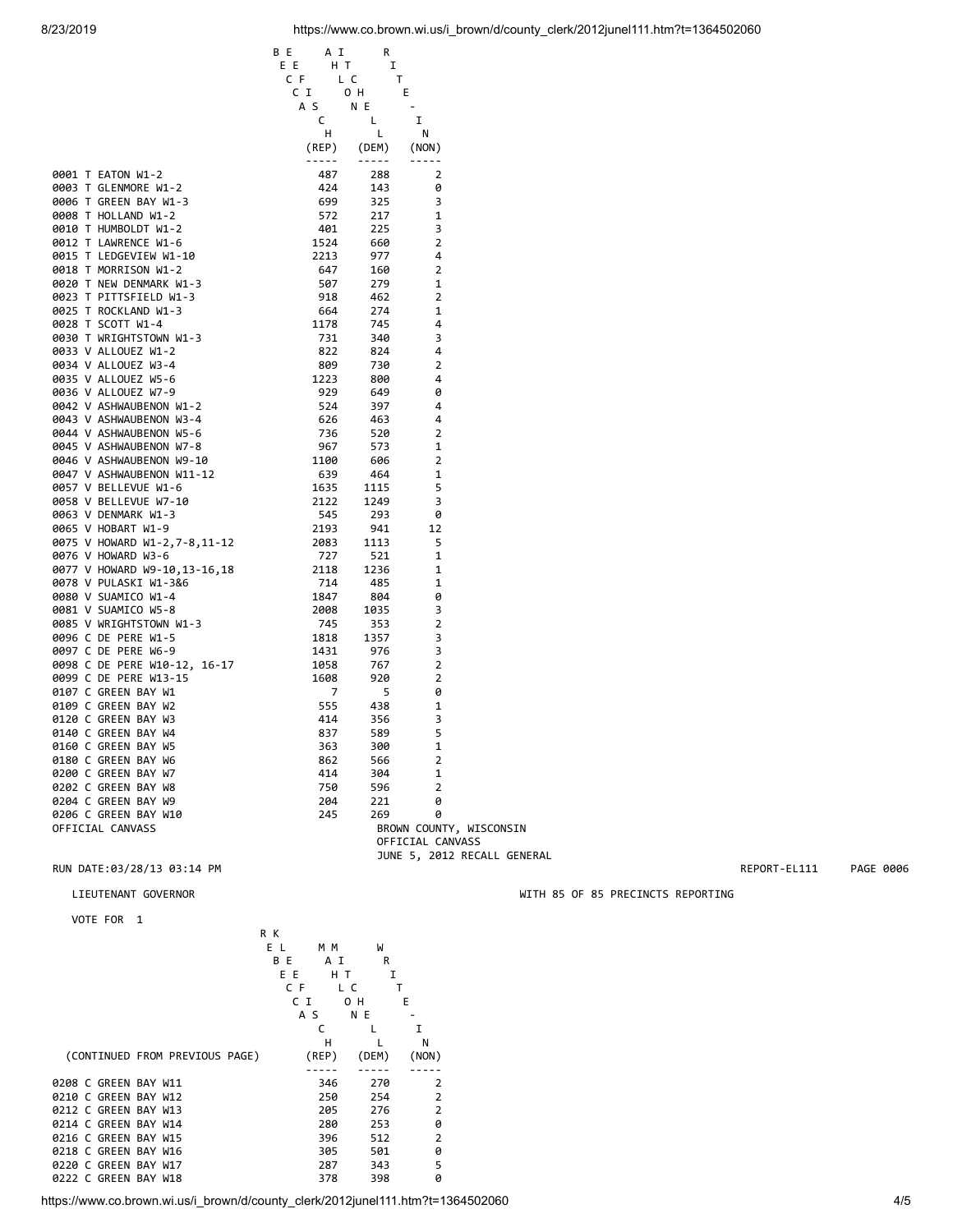|                                                                                                                                                                                                                                                              | B E<br>A I                                                                                                                                                                      | R                                                                                                                                                                                                                                                                                                                                                                                            |                                             |  |
|--------------------------------------------------------------------------------------------------------------------------------------------------------------------------------------------------------------------------------------------------------------|---------------------------------------------------------------------------------------------------------------------------------------------------------------------------------|----------------------------------------------------------------------------------------------------------------------------------------------------------------------------------------------------------------------------------------------------------------------------------------------------------------------------------------------------------------------------------------------|---------------------------------------------|--|
|                                                                                                                                                                                                                                                              | H T<br>E E                                                                                                                                                                      | 1                                                                                                                                                                                                                                                                                                                                                                                            |                                             |  |
|                                                                                                                                                                                                                                                              | C F                                                                                                                                                                             | L C                                                                                                                                                                                                                                                                                                                                                                                          | Τ                                           |  |
|                                                                                                                                                                                                                                                              | C I                                                                                                                                                                             | 0 H                                                                                                                                                                                                                                                                                                                                                                                          | – E                                         |  |
|                                                                                                                                                                                                                                                              | A S                                                                                                                                                                             | N E                                                                                                                                                                                                                                                                                                                                                                                          |                                             |  |
|                                                                                                                                                                                                                                                              | $\mathsf{C}$                                                                                                                                                                    | L.                                                                                                                                                                                                                                                                                                                                                                                           | I                                           |  |
|                                                                                                                                                                                                                                                              | H                                                                                                                                                                               | $\mathsf{L}$                                                                                                                                                                                                                                                                                                                                                                                 | - N                                         |  |
|                                                                                                                                                                                                                                                              | (REP)                                                                                                                                                                           | (DEM)                                                                                                                                                                                                                                                                                                                                                                                        | (NON)                                       |  |
|                                                                                                                                                                                                                                                              | $\frac{1}{2} \left( \frac{1}{2} \right) \left( \frac{1}{2} \right) \left( \frac{1}{2} \right) \left( \frac{1}{2} \right) \left( \frac{1}{2} \right) \left( \frac{1}{2} \right)$ | $\frac{1}{2} \frac{1}{2} \frac{1}{2} \frac{1}{2} \frac{1}{2} \frac{1}{2} \frac{1}{2} \frac{1}{2} \frac{1}{2} \frac{1}{2} \frac{1}{2} \frac{1}{2} \frac{1}{2} \frac{1}{2} \frac{1}{2} \frac{1}{2} \frac{1}{2} \frac{1}{2} \frac{1}{2} \frac{1}{2} \frac{1}{2} \frac{1}{2} \frac{1}{2} \frac{1}{2} \frac{1}{2} \frac{1}{2} \frac{1}{2} \frac{1}{2} \frac{1}{2} \frac{1}{2} \frac{1}{2} \frac{$ |                                             |  |
| 0001 T EATON W1-2                                                                                                                                                                                                                                            | 487                                                                                                                                                                             | 288                                                                                                                                                                                                                                                                                                                                                                                          | 2                                           |  |
|                                                                                                                                                                                                                                                              | 424                                                                                                                                                                             | 143                                                                                                                                                                                                                                                                                                                                                                                          | 0                                           |  |
|                                                                                                                                                                                                                                                              | 699                                                                                                                                                                             | 325                                                                                                                                                                                                                                                                                                                                                                                          | 3                                           |  |
|                                                                                                                                                                                                                                                              | 572                                                                                                                                                                             | 217                                                                                                                                                                                                                                                                                                                                                                                          | 1                                           |  |
|                                                                                                                                                                                                                                                              | 401                                                                                                                                                                             | 225                                                                                                                                                                                                                                                                                                                                                                                          | 3                                           |  |
|                                                                                                                                                                                                                                                              | 1524                                                                                                                                                                            | 660                                                                                                                                                                                                                                                                                                                                                                                          | $\overline{2}$                              |  |
|                                                                                                                                                                                                                                                              | 2213                                                                                                                                                                            | 977                                                                                                                                                                                                                                                                                                                                                                                          | 4                                           |  |
|                                                                                                                                                                                                                                                              | 647                                                                                                                                                                             | 160                                                                                                                                                                                                                                                                                                                                                                                          | $\overline{2}$                              |  |
|                                                                                                                                                                                                                                                              | 507                                                                                                                                                                             | 279                                                                                                                                                                                                                                                                                                                                                                                          | 1                                           |  |
|                                                                                                                                                                                                                                                              | 918                                                                                                                                                                             | 462                                                                                                                                                                                                                                                                                                                                                                                          | $\overline{2}$                              |  |
| 0001 T EATON W1-2<br>0003 T GLENMORE W1-2<br>0006 T GREEN BAY W1-3<br>0008 T HOLLAND W1-2<br>0010 T HUMBOLDT W1-2<br>0012 T LAWRENCE W1-6<br>0013 T LEDGEVIEW W1-10<br>0018 T MORRISON W1-2<br>0020 T NEW DENMARK W1-3<br>0023 T PITTSFIELD W1-3<br>0025 T R | 664                                                                                                                                                                             | 274                                                                                                                                                                                                                                                                                                                                                                                          | $\mathbf{1}$                                |  |
|                                                                                                                                                                                                                                                              | 1178                                                                                                                                                                            | 745                                                                                                                                                                                                                                                                                                                                                                                          | 4                                           |  |
| 0030 T WRIGHTSTOWN W1-3                                                                                                                                                                                                                                      | 731                                                                                                                                                                             | 340                                                                                                                                                                                                                                                                                                                                                                                          | 3                                           |  |
| 0033 V ALLOUEZ W1-2                                                                                                                                                                                                                                          | 822                                                                                                                                                                             | 824                                                                                                                                                                                                                                                                                                                                                                                          | 4                                           |  |
|                                                                                                                                                                                                                                                              | 809                                                                                                                                                                             | 730                                                                                                                                                                                                                                                                                                                                                                                          | $\overline{2}$                              |  |
|                                                                                                                                                                                                                                                              | 1223                                                                                                                                                                            | 800                                                                                                                                                                                                                                                                                                                                                                                          | 4                                           |  |
| 0033 V ALLOUEZ W1-2<br>0034 V ALLOUEZ W3-4<br>0035 V ALLOUEZ W5-6<br>0036 V ALLOUEZ W5-9<br>0042 V ASHWAUBENON W1-2<br>0043 V ASHWAUBENON W3-4<br>0044 V ASHWAUBENON W5-6<br>0045 V ASHWAUBENON W7-8<br>0046 V ASHWAUBENON W3-10<br>0046 V ASHWAUBENON W3    | 929                                                                                                                                                                             | 649                                                                                                                                                                                                                                                                                                                                                                                          | 0                                           |  |
|                                                                                                                                                                                                                                                              | 524                                                                                                                                                                             | 397                                                                                                                                                                                                                                                                                                                                                                                          | $\overline{4}$                              |  |
|                                                                                                                                                                                                                                                              | 626                                                                                                                                                                             | 463                                                                                                                                                                                                                                                                                                                                                                                          | 4                                           |  |
|                                                                                                                                                                                                                                                              | $96,$<br>$1100$<br>$639$<br>$1635$<br>$12$                                                                                                                                      | 520                                                                                                                                                                                                                                                                                                                                                                                          | $\overline{2}$                              |  |
|                                                                                                                                                                                                                                                              |                                                                                                                                                                                 | 573                                                                                                                                                                                                                                                                                                                                                                                          | $\mathbf{1}$                                |  |
|                                                                                                                                                                                                                                                              |                                                                                                                                                                                 | 606                                                                                                                                                                                                                                                                                                                                                                                          | $\overline{2}$                              |  |
|                                                                                                                                                                                                                                                              |                                                                                                                                                                                 | 464                                                                                                                                                                                                                                                                                                                                                                                          | $\mathbf{1}$                                |  |
| 0057 V BELLEVUE W1-6                                                                                                                                                                                                                                         |                                                                                                                                                                                 | 1115                                                                                                                                                                                                                                                                                                                                                                                         | 5                                           |  |
| 0058 V BELLEVUE W7-10                                                                                                                                                                                                                                        |                                                                                                                                                                                 | 1249                                                                                                                                                                                                                                                                                                                                                                                         | 3                                           |  |
| 0063 V DENMARK W1-3                                                                                                                                                                                                                                          | 545                                                                                                                                                                             | 293                                                                                                                                                                                                                                                                                                                                                                                          | 0                                           |  |
| 0065 V HOBART W1-9                                                                                                                                                                                                                                           | 2193                                                                                                                                                                            | 941                                                                                                                                                                                                                                                                                                                                                                                          | 12                                          |  |
| 0075 V HOWARD W1-2,7-8,11-12                                                                                                                                                                                                                                 | 2083                                                                                                                                                                            | 1113                                                                                                                                                                                                                                                                                                                                                                                         | 5                                           |  |
| 0076 V HOWARD W3-6                                                                                                                                                                                                                                           | 727                                                                                                                                                                             | 521                                                                                                                                                                                                                                                                                                                                                                                          | 1                                           |  |
|                                                                                                                                                                                                                                                              |                                                                                                                                                                                 | 1236                                                                                                                                                                                                                                                                                                                                                                                         | 1                                           |  |
| 0076 V HOWARD W3-6<br>0078 V HOWARD W9-10,13-16,18<br>0078 V PULASKI W1-3&6<br>0080 V SUAMICO W1-4<br>0080 V SUAMICO W1-4<br>0081 V SUAMICO W5-8<br>0095 C DE PERE W1-5<br>0097 C DE PERE W6-9<br>1431<br>0097 C DE PERE W6-9<br>1431<br>0097 C DE P         |                                                                                                                                                                                 | 485                                                                                                                                                                                                                                                                                                                                                                                          | 1                                           |  |
|                                                                                                                                                                                                                                                              |                                                                                                                                                                                 | 804                                                                                                                                                                                                                                                                                                                                                                                          | 0                                           |  |
|                                                                                                                                                                                                                                                              |                                                                                                                                                                                 | 1035                                                                                                                                                                                                                                                                                                                                                                                         | 3                                           |  |
|                                                                                                                                                                                                                                                              |                                                                                                                                                                                 | 353                                                                                                                                                                                                                                                                                                                                                                                          | 2                                           |  |
|                                                                                                                                                                                                                                                              |                                                                                                                                                                                 | 1357                                                                                                                                                                                                                                                                                                                                                                                         | 3                                           |  |
|                                                                                                                                                                                                                                                              |                                                                                                                                                                                 | 976                                                                                                                                                                                                                                                                                                                                                                                          | 3<br>$\overline{2}$                         |  |
| 0098 C DE PERE W10-12, 16-17<br>0099 C DE PERE W13-15<br>0107 C GREEN BAY W1                                                                                                                                                                                 |                                                                                                                                                                                 | 767                                                                                                                                                                                                                                                                                                                                                                                          |                                             |  |
|                                                                                                                                                                                                                                                              |                                                                                                                                                                                 | 920                                                                                                                                                                                                                                                                                                                                                                                          | $\overline{2}$                              |  |
|                                                                                                                                                                                                                                                              |                                                                                                                                                                                 | 5                                                                                                                                                                                                                                                                                                                                                                                            | 0                                           |  |
| 0109 C GREEN BAY W2                                                                                                                                                                                                                                          | 555                                                                                                                                                                             | 438                                                                                                                                                                                                                                                                                                                                                                                          | 1                                           |  |
| 0120 C GREEN BAY W3                                                                                                                                                                                                                                          | 414                                                                                                                                                                             | 356                                                                                                                                                                                                                                                                                                                                                                                          | 3                                           |  |
| 0140 C GREEN BAY W4                                                                                                                                                                                                                                          | 837                                                                                                                                                                             | 589                                                                                                                                                                                                                                                                                                                                                                                          | 5                                           |  |
| 0160 C GREEN BAY W5                                                                                                                                                                                                                                          | 363                                                                                                                                                                             | 300                                                                                                                                                                                                                                                                                                                                                                                          | $\mathbf{1}$                                |  |
| 0180 C GREEN BAY W6                                                                                                                                                                                                                                          | 862                                                                                                                                                                             | 566                                                                                                                                                                                                                                                                                                                                                                                          | $\overline{2}$                              |  |
| 0200 C GREEN BAY W7                                                                                                                                                                                                                                          | 414                                                                                                                                                                             | 304                                                                                                                                                                                                                                                                                                                                                                                          | 1                                           |  |
| 0202 C GREEN BAY W8                                                                                                                                                                                                                                          | 750                                                                                                                                                                             | 596                                                                                                                                                                                                                                                                                                                                                                                          | $\overline{2}$                              |  |
| 0204 C GREEN BAY W9                                                                                                                                                                                                                                          | 204                                                                                                                                                                             | 221                                                                                                                                                                                                                                                                                                                                                                                          | 0                                           |  |
| 0206 C GREEN BAY W10                                                                                                                                                                                                                                         | 245                                                                                                                                                                             | 269                                                                                                                                                                                                                                                                                                                                                                                          | 0                                           |  |
| OFFICIAL CANVASS                                                                                                                                                                                                                                             |                                                                                                                                                                                 |                                                                                                                                                                                                                                                                                                                                                                                              | BROWN COUNTY, WISCONSIN<br>OFFICIAL CANVASS |  |

RUN DATE:03/28/13 03:14 PM **REPORT-EL111** PAGE 0006

VOTE FOR 1

|                      |                                | R K |       |       |                |
|----------------------|--------------------------------|-----|-------|-------|----------------|
|                      |                                | ΕL  | M M   | W     |                |
|                      |                                | B E | A I   | R     |                |
|                      |                                | ΕE  | H T   | I     |                |
|                      |                                | C F | L C   |       | т              |
|                      |                                | C I |       | 0 H   | E              |
|                      |                                | A S |       | N E   |                |
|                      |                                |     | C     |       | I              |
|                      |                                |     | н     |       | N              |
|                      | (CONTINUED FROM PREVIOUS PAGE) |     | (REP) | (DEM) | (NON)          |
|                      |                                |     |       |       |                |
| 0208 C GREEN BAY W11 |                                |     | 346   | 270   | 2              |
| 0210 C GREEN BAY W12 |                                |     | 250   | 254   | $\overline{2}$ |
| 0212 C GREEN BAY W13 |                                |     | 205   | 276   | $\overline{2}$ |
| 0214 C GREEN BAY W14 |                                |     | 280   | 253   | 0              |
| 0216 C GREEN BAY W15 |                                |     | 396   | 512   | 2              |
| 0218 C GREEN BAY W16 |                                |     | 305   | 501   | 0              |
| 0220 C GREEN BAY W17 |                                |     | 287   | 343   | 5              |
| 0222 C GREEN BAY W18 |                                |     | 378   | 398   | 0              |
|                      |                                |     |       |       |                |

JUNE 5, 2012 RECALL GENERAL

https://www.co.brown.wi.us/i\_brown/d/county\_clerk/2012junel111.htm?t=1364502060 4/5

LIEUTENANT GOVERNOR WITH 85 OF 85 PRECINCTS REPORTING